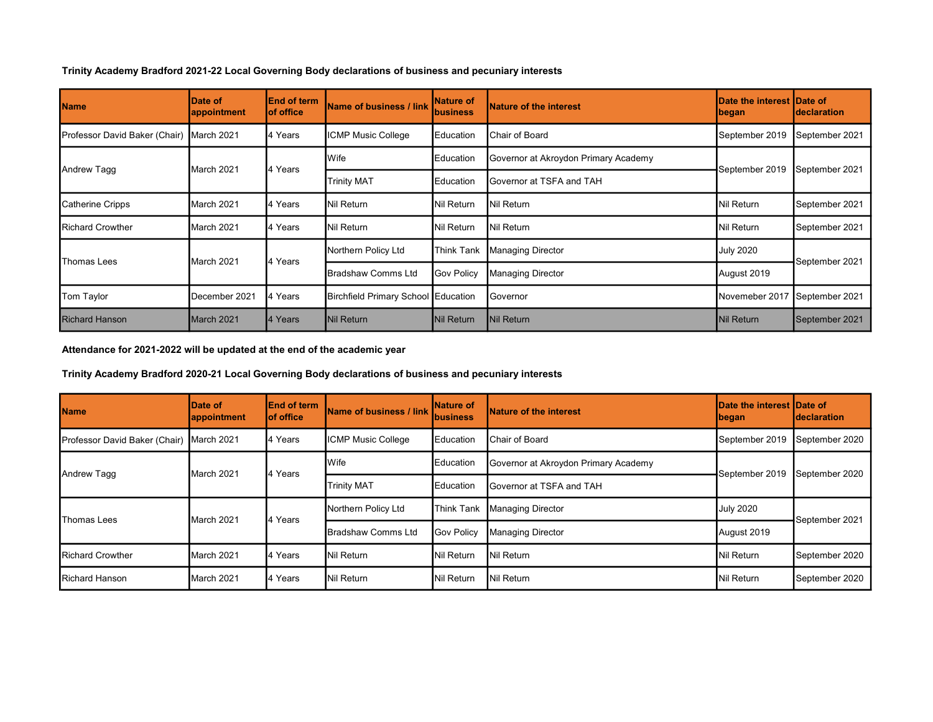Trinity Academy Bradford 2021-22 Local Governing Body declarations of business and pecuniary interests

| <b>Name</b>                   | Date of<br>appointment | <b>IEnd of term</b><br>lof office | Name of business / link             | <b>Nature of</b><br><b>business</b> | <b>Nature of the interest</b>        | Date the interest IDate of<br> began | <b>declaration</b> |
|-------------------------------|------------------------|-----------------------------------|-------------------------------------|-------------------------------------|--------------------------------------|--------------------------------------|--------------------|
| Professor David Baker (Chair) | March 2021             | 4 Years                           | <b>ICMP Music College</b>           | Education                           | Chair of Board                       | September 2019                       | September 2021     |
| Andrew Tagg                   | March 2021             | 4 Years                           | Wife                                | Education                           | Governor at Akroydon Primary Academy | September 2019                       | September 2021     |
|                               |                        |                                   | <b>Trinity MAT</b>                  | Education                           | Governor at TSFA and TAH             |                                      |                    |
| Catherine Cripps              | March 2021             | 4 Years                           | Nil Return                          | Nil Return                          | Nil Return                           | Nil Return                           | September 2021     |
| <b>Richard Crowther</b>       | March 2021             | 4 Years                           | Nil Return                          | <b>Nil Return</b>                   | Nil Return                           | Nil Return                           | September 2021     |
| Thomas Lees                   | March 2021             | 4 Years                           | Northern Policy Ltd                 | <b>Think Tank</b>                   | <b>Managing Director</b>             | <b>July 2020</b>                     | September 2021     |
|                               |                        |                                   | <b>Bradshaw Comms Ltd</b>           | <b>Gov Policy</b>                   | <b>Managing Director</b>             | August 2019                          |                    |
| Tom Taylor                    | December 2021          | 4 Years                           | Birchfield Primary School Education |                                     | Governor                             | Novemeber 2017                       | September 2021     |
| <b>Richard Hanson</b>         | March 2021             | 4 Years                           | <b>Nil Return</b>                   | <b>Nil Return</b>                   | Nil Return                           | Nil Return                           | September 2021     |

## Attendance for 2021-2022 will be updated at the end of the academic year

Trinity Academy Bradford 2020-21 Local Governing Body declarations of business and pecuniary interests

| <b>Name</b>                              | IDate of<br><b>appointment</b> | <b>IEnd of term</b><br>lof office | <b>Name of business / link</b> | <b>INature of</b><br>Ibusiness | <b>Nature of the interest</b>        | Date the interest Date of<br><b>Ibegan</b> | Ideclaration   |
|------------------------------------------|--------------------------------|-----------------------------------|--------------------------------|--------------------------------|--------------------------------------|--------------------------------------------|----------------|
| Professor David Baker (Chair) March 2021 |                                | 4 Years                           | <b>ICMP Music College</b>      | <b>I</b> Education             | Chair of Board                       | September 2019                             | September 2020 |
| Andrew Tagg                              | March 2021                     | 4 Years                           | <b>Wife</b>                    | <b>I</b> Education             | Governor at Akroydon Primary Academy | September 2019                             | September 2020 |
|                                          |                                |                                   | <b>Trinity MAT</b>             | <b>Education</b>               | Governor at TSFA and TAH             |                                            |                |
| Thomas Lees                              | March 2021                     | 4 Years                           | Northern Policy Ltd            | <b>Think Tank</b>              | Managing Director                    | <b>July 2020</b>                           | September 2021 |
|                                          |                                |                                   | Bradshaw Comms Ltd             | <b>Gov Policy</b>              | <b>Managing Director</b>             | August 2019                                |                |
| <b>Richard Crowther</b>                  | March 2021                     | 4 Years                           | <b>Nil Return</b>              | Nil Return                     | Nil Return                           | Nil Return                                 | September 2020 |
| <b>Richard Hanson</b>                    | March 2021                     | 4 Years                           | <b>Nil Return</b>              | Nil Return                     | Nil Return                           | Nil Return                                 | September 2020 |